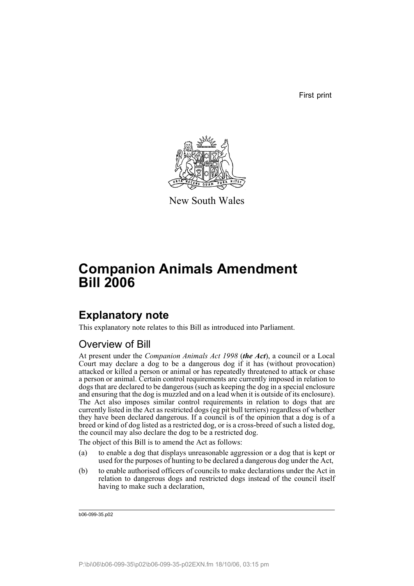First print



New South Wales

# **Companion Animals Amendment Bill 2006**

# **Explanatory note**

This explanatory note relates to this Bill as introduced into Parliament.

## Overview of Bill

At present under the *Companion Animals Act 1998* (*the Act*), a council or a Local Court may declare a dog to be a dangerous dog if it has (without provocation) attacked or killed a person or animal or has repeatedly threatened to attack or chase a person or animal. Certain control requirements are currently imposed in relation to dogs that are declared to be dangerous (such as keeping the dog in a special enclosure and ensuring that the dog is muzzled and on a lead when it is outside of its enclosure). The Act also imposes similar control requirements in relation to dogs that are currently listed in the Act as restricted dogs (eg pit bull terriers) regardless of whether they have been declared dangerous. If a council is of the opinion that a dog is of a breed or kind of dog listed as a restricted dog, or is a cross-breed of such a listed dog, the council may also declare the dog to be a restricted dog.

The object of this Bill is to amend the Act as follows:

- (a) to enable a dog that displays unreasonable aggression or a dog that is kept or used for the purposes of hunting to be declared a dangerous dog under the Act,
- (b) to enable authorised officers of councils to make declarations under the Act in relation to dangerous dogs and restricted dogs instead of the council itself having to make such a declaration,

b06-099-35.p02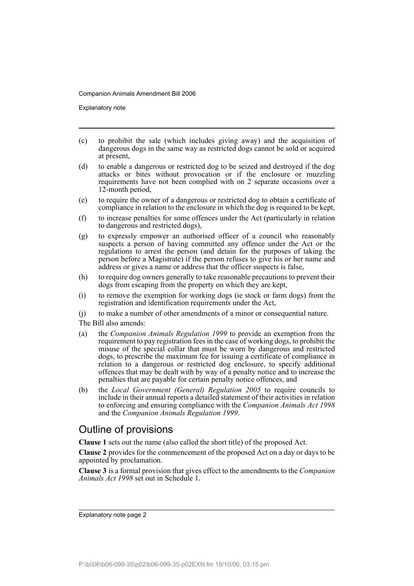Explanatory note

- (c) to prohibit the sale (which includes giving away) and the acquisition of dangerous dogs in the same way as restricted dogs cannot be sold or acquired at present,
- (d) to enable a dangerous or restricted dog to be seized and destroyed if the dog attacks or bites without provocation or if the enclosure or muzzling requirements have not been complied with on 2 separate occasions over a 12-month period,
- (e) to require the owner of a dangerous or restricted dog to obtain a certificate of compliance in relation to the enclosure in which the dog is required to be kept,
- (f) to increase penalties for some offences under the Act (particularly in relation to dangerous and restricted dogs),
- (g) to expressly empower an authorised officer of a council who reasonably suspects a person of having committed any offence under the Act or the regulations to arrest the person (and detain for the purposes of taking the person before a Magistrate) if the person refuses to give his or her name and address or gives a name or address that the officer suspects is false,
- (h) to require dog owners generally to take reasonable precautions to prevent their dogs from escaping from the property on which they are kept,
- (i) to remove the exemption for working dogs (ie stock or farm dogs) from the registration and identification requirements under the Act,
- (j) to make a number of other amendments of a minor or consequential nature.
- The Bill also amends:
- (a) the *Companion Animals Regulation 1999* to provide an exemption from the requirement to pay registration fees in the case of working dogs, to prohibit the misuse of the special collar that must be worn by dangerous and restricted dogs, to prescribe the maximum fee for issuing a certificate of compliance in relation to a dangerous or restricted dog enclosure, to specify additional offences that may be dealt with by way of a penalty notice and to increase the penalties that are payable for certain penalty notice offences, and
- (b) the *Local Government (General) Regulation 2005* to require councils to include in their annual reports a detailed statement of their activities in relation to enforcing and ensuring compliance with the *Companion Animals Act 1998* and the *Companion Animals Regulation 1999*.

## Outline of provisions

**Clause 1** sets out the name (also called the short title) of the proposed Act.

**Clause 2** provides for the commencement of the proposed Act on a day or days to be appointed by proclamation.

**Clause 3** is a formal provision that gives effect to the amendments to the *Companion Animals Act 1998* set out in Schedule 1.

Explanatory note page 2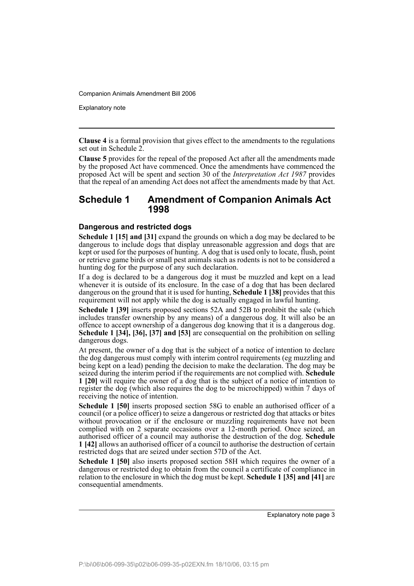Explanatory note

**Clause 4** is a formal provision that gives effect to the amendments to the regulations set out in Schedule 2.

**Clause 5** provides for the repeal of the proposed Act after all the amendments made by the proposed Act have commenced. Once the amendments have commenced the proposed Act will be spent and section 30 of the *Interpretation Act 1987* provides that the repeal of an amending Act does not affect the amendments made by that Act.

### **Schedule 1 Amendment of Companion Animals Act 1998**

#### **Dangerous and restricted dogs**

**Schedule 1 [15] and [31]** expand the grounds on which a dog may be declared to be dangerous to include dogs that display unreasonable aggression and dogs that are kept or used for the purposes of hunting. A dog that is used only to locate, flush, point or retrieve game birds or small pest animals such as rodents is not to be considered a hunting dog for the purpose of any such declaration.

If a dog is declared to be a dangerous dog it must be muzzled and kept on a lead whenever it is outside of its enclosure. In the case of a dog that has been declared dangerous on the ground that it is used for hunting, **Schedule 1 [38]** provides that this requirement will not apply while the dog is actually engaged in lawful hunting.

**Schedule 1 [39]** inserts proposed sections 52A and 52B to prohibit the sale (which includes transfer ownership by any means) of a dangerous dog. It will also be an offence to accept ownership of a dangerous dog knowing that it is a dangerous dog. **Schedule 1 [34], [36], [37] and [53]** are consequential on the prohibition on selling dangerous dogs.

At present, the owner of a dog that is the subject of a notice of intention to declare the dog dangerous must comply with interim control requirements (eg muzzling and being kept on a lead) pending the decision to make the declaration. The dog may be seized during the interim period if the requirements are not complied with. **Schedule 1 [20]** will require the owner of a dog that is the subject of a notice of intention to register the dog (which also requires the dog to be microchipped) within 7 days of receiving the notice of intention.

**Schedule 1 [50]** inserts proposed section 58G to enable an authorised officer of a council (or a police officer) to seize a dangerous or restricted dog that attacks or bites without provocation or if the enclosure or muzzling requirements have not been complied with on 2 separate occasions over a 12-month period. Once seized, an authorised officer of a council may authorise the destruction of the dog. **Schedule 1 [42]** allows an authorised officer of a council to authorise the destruction of certain restricted dogs that are seized under section 57D of the Act.

**Schedule 1 [50]** also inserts proposed section 58H which requires the owner of a dangerous or restricted dog to obtain from the council a certificate of compliance in relation to the enclosure in which the dog must be kept. **Schedule 1 [35] and [41]** are consequential amendments.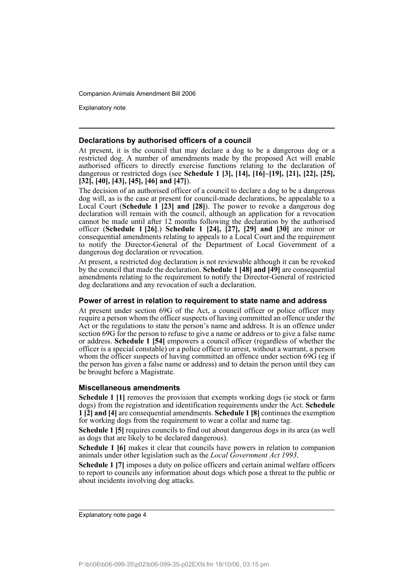Explanatory note

#### **Declarations by authorised officers of a council**

At present, it is the council that may declare a dog to be a dangerous dog or a restricted dog. A number of amendments made by the proposed Act will enable authorised officers to directly exercise functions relating to the declaration of dangerous or restricted dogs (see **Schedule 1 [3], [14], [16]–[19], [21], [22], [25], [32], [40], [43], [45], [46] and [47]**).

The decision of an authorised officer of a council to declare a dog to be a dangerous dog will, as is the case at present for council-made declarations, be appealable to a Local Court (**Schedule 1 [23] and [28]**). The power to revoke a dangerous dog declaration will remain with the council, although an application for a revocation cannot be made until after 12 months following the declaration by the authorised officer (**Schedule 1 [26]**.) **Schedule 1 [24], [27], [29] and [30]** are minor or consequential amendments relating to appeals to a Local Court and the requirement to notify the Director-General of the Department of Local Government of a dangerous dog declaration or revocation.

At present, a restricted dog declaration is not reviewable although it can be revoked by the council that made the declaration. **Schedule 1 [48] and [49]** are consequential amendments relating to the requirement to notify the Director-General of restricted dog declarations and any revocation of such a declaration.

#### **Power of arrest in relation to requirement to state name and address**

At present under section 69G of the Act, a council officer or police officer may require a person whom the officer suspects of having committed an offence under the Act or the regulations to state the person's name and address. It is an offence under section 69G for the person to refuse to give a name or address or to give a false name or address. **Schedule 1 [54]** empowers a council officer (regardless of whether the officer is a special constable) or a police officer to arrest, without a warrant, a person whom the officer suspects of having committed an offence under section 69G (eg if the person has given a false name or address) and to detain the person until they can be brought before a Magistrate.

#### **Miscellaneous amendments**

**Schedule 1 [1]** removes the provision that exempts working dogs (ie stock or farm dogs) from the registration and identification requirements under the Act. **Schedule 1 [2] and [4]** are consequential amendments. **Schedule 1 [8]** continues the exemption for working dogs from the requirement to wear a collar and name tag.

**Schedule 1 [5]** requires councils to find out about dangerous dogs in its area (as well as dogs that are likely to be declared dangerous).

**Schedule 1 [6]** makes it clear that councils have powers in relation to companion animals under other legislation such as the *Local Government Act 1993*.

**Schedule 1 [7]** imposes a duty on police officers and certain animal welfare officers to report to councils any information about dogs which pose a threat to the public or about incidents involving dog attacks.

Explanatory note page 4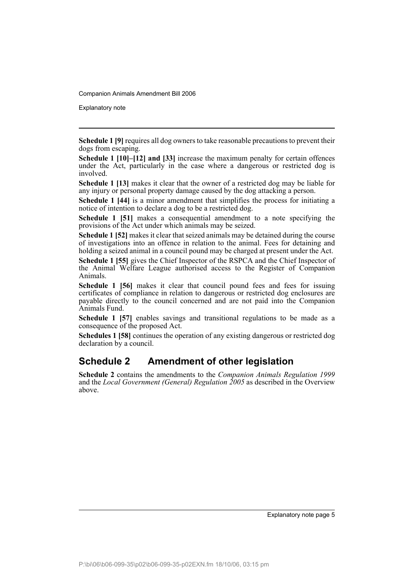Explanatory note

**Schedule 1 [9]** requires all dog owners to take reasonable precautions to prevent their dogs from escaping.

**Schedule 1 [10]–[12] and [33]** increase the maximum penalty for certain offences under the Act, particularly in the case where a dangerous or restricted dog is involved.

**Schedule 1 [13]** makes it clear that the owner of a restricted dog may be liable for any injury or personal property damage caused by the dog attacking a person.

**Schedule 1 [44]** is a minor amendment that simplifies the process for initiating a notice of intention to declare a dog to be a restricted dog.

**Schedule 1 [51]** makes a consequential amendment to a note specifying the provisions of the Act under which animals may be seized.

**Schedule 1 [52]** makes it clear that seized animals may be detained during the course of investigations into an offence in relation to the animal. Fees for detaining and holding a seized animal in a council pound may be charged at present under the Act.

**Schedule 1 [55]** gives the Chief Inspector of the RSPCA and the Chief Inspector of the Animal Welfare League authorised access to the Register of Companion Animals.

**Schedule 1 [56]** makes it clear that council pound fees and fees for issuing certificates of compliance in relation to dangerous or restricted dog enclosures are payable directly to the council concerned and are not paid into the Companion Animals Fund.

**Schedule 1 [57]** enables savings and transitional regulations to be made as a consequence of the proposed Act.

**Schedules 1 [58]** continues the operation of any existing dangerous or restricted dog declaration by a council.

## **Schedule 2 Amendment of other legislation**

**Schedule 2** contains the amendments to the *Companion Animals Regulation 1999* and the *Local Government (General) Regulation 2005* as described in the Overview above.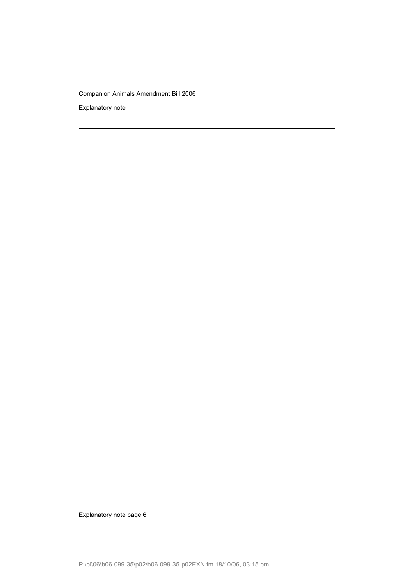Explanatory note

Explanatory note page 6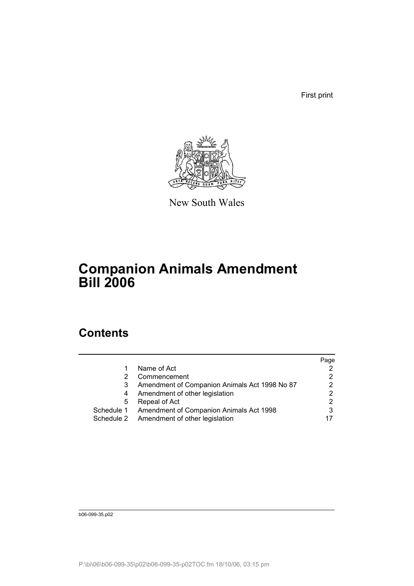First print



New South Wales

# **Companion Animals Amendment Bill 2006**

# **Contents**

|   |                                                    | Page |
|---|----------------------------------------------------|------|
|   | Name of Act                                        |      |
|   | Commencement                                       |      |
|   | Amendment of Companion Animals Act 1998 No 87      | 2    |
| 4 | Amendment of other legislation                     |      |
| 5 | Repeal of Act                                      |      |
|   | Schedule 1 Amendment of Companion Animals Act 1998 |      |
|   | Schedule 2 Amendment of other legislation          | 17   |
|   |                                                    |      |

b06-099-35.p02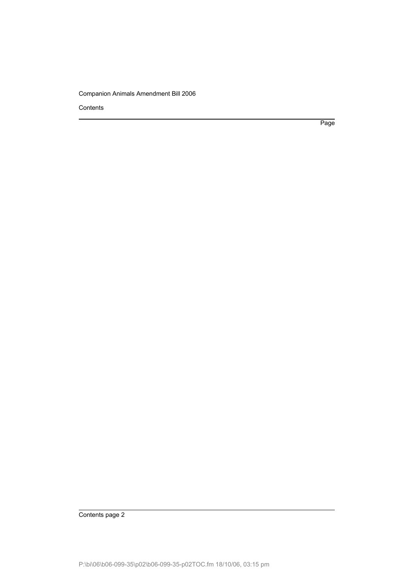Contents

Page

Contents page 2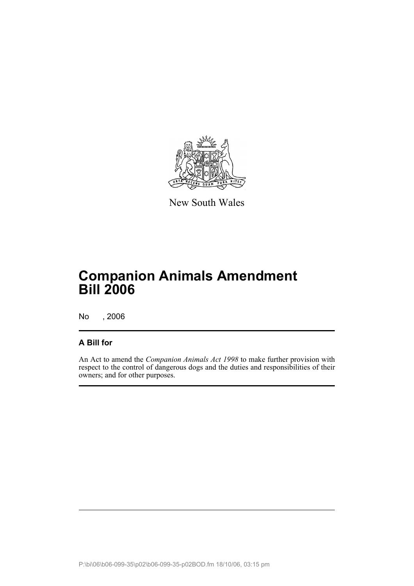

New South Wales

# **Companion Animals Amendment Bill 2006**

No , 2006

### **A Bill for**

An Act to amend the *Companion Animals Act 1998* to make further provision with respect to the control of dangerous dogs and the duties and responsibilities of their owners; and for other purposes.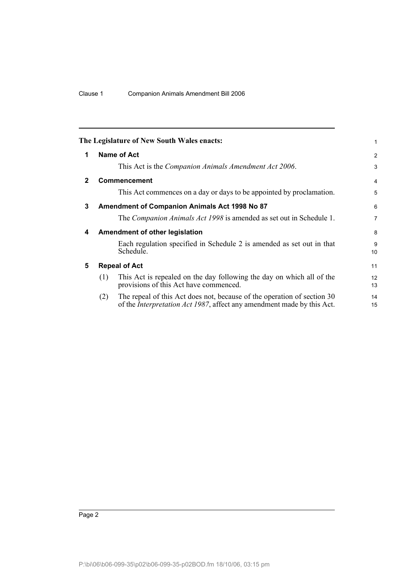|              | The Legislature of New South Wales enacts:                                                                                                                       | 1                    |
|--------------|------------------------------------------------------------------------------------------------------------------------------------------------------------------|----------------------|
| 1            | <b>Name of Act</b>                                                                                                                                               | 2                    |
|              | This Act is the Companion Animals Amendment Act 2006.                                                                                                            | 3                    |
| $\mathbf{2}$ | Commencement                                                                                                                                                     | $\overline{4}$       |
|              | This Act commences on a day or days to be appointed by proclamation.                                                                                             | 5                    |
| 3            | <b>Amendment of Companion Animals Act 1998 No 87</b>                                                                                                             | 6                    |
|              | The <i>Companion Animals Act 1998</i> is amended as set out in Schedule 1.                                                                                       | $\overline{7}$       |
| 4            | Amendment of other legislation                                                                                                                                   | 8                    |
|              | Each regulation specified in Schedule 2 is amended as set out in that<br>Schedule.                                                                               | 9<br>10 <sup>1</sup> |
| 5            | <b>Repeal of Act</b>                                                                                                                                             | 11                   |
|              | This Act is repealed on the day following the day on which all of the<br>(1)<br>provisions of this Act have commenced.                                           | 12<br>13             |
|              | The repeal of this Act does not, because of the operation of section 30<br>(2)<br>of the <i>Interpretation Act 1987</i> , affect any amendment made by this Act. | 14<br>15             |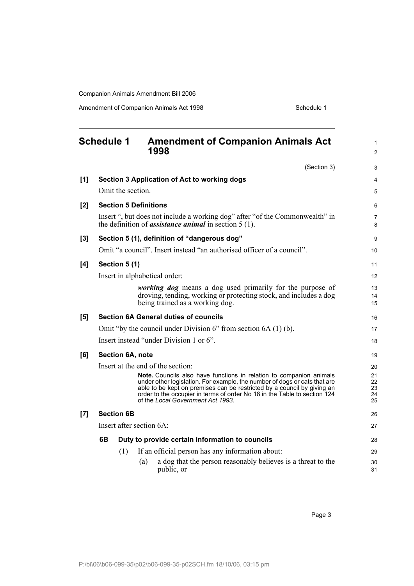Amendment of Companion Animals Act 1998 Schedule 1

|     | <b>Schedule 1</b> | <b>Amendment of Companion Animals Act</b><br>1998                                                                                                                                                                                                                                                                                             | 1<br>$\overline{c}$        |
|-----|-------------------|-----------------------------------------------------------------------------------------------------------------------------------------------------------------------------------------------------------------------------------------------------------------------------------------------------------------------------------------------|----------------------------|
|     |                   | (Section 3)                                                                                                                                                                                                                                                                                                                                   | 3                          |
| [1] |                   | Section 3 Application of Act to working dogs                                                                                                                                                                                                                                                                                                  | 4                          |
|     |                   | Omit the section.                                                                                                                                                                                                                                                                                                                             | 5                          |
| [2] |                   | <b>Section 5 Definitions</b>                                                                                                                                                                                                                                                                                                                  | 6                          |
|     |                   | Insert ", but does not include a working dog" after "of the Commonwealth" in<br>the definition of <i>assistance animal</i> in section $5(1)$ .                                                                                                                                                                                                | 7<br>8                     |
| [3] |                   | Section 5 (1), definition of "dangerous dog"                                                                                                                                                                                                                                                                                                  | 9                          |
|     |                   | Omit "a council". Insert instead "an authorised officer of a council".                                                                                                                                                                                                                                                                        | 10                         |
| [4] |                   | Section 5 (1)                                                                                                                                                                                                                                                                                                                                 | 11                         |
|     |                   | Insert in alphabetical order:                                                                                                                                                                                                                                                                                                                 | 12                         |
|     |                   | <i>working dog</i> means a dog used primarily for the purpose of<br>droving, tending, working or protecting stock, and includes a dog<br>being trained as a working dog.                                                                                                                                                                      | 13<br>14<br>15             |
| [5] |                   | <b>Section 6A General duties of councils</b>                                                                                                                                                                                                                                                                                                  | 16                         |
|     |                   | Omit "by the council under Division 6" from section $6A(1)(b)$ .                                                                                                                                                                                                                                                                              | 17                         |
|     |                   | Insert instead "under Division 1 or 6".                                                                                                                                                                                                                                                                                                       | 18                         |
| [6] |                   | Section 6A, note                                                                                                                                                                                                                                                                                                                              | 19                         |
|     |                   | Insert at the end of the section:                                                                                                                                                                                                                                                                                                             | 20                         |
|     |                   | Note. Councils also have functions in relation to companion animals<br>under other legislation. For example, the number of dogs or cats that are<br>able to be kept on premises can be restricted by a council by giving an<br>order to the occupier in terms of order No 18 in the Table to section 124<br>of the Local Government Act 1993. | 21<br>22<br>23<br>24<br>25 |
| [7] |                   | <b>Section 6B</b>                                                                                                                                                                                                                                                                                                                             | 26                         |
|     |                   | Insert after section 6A:                                                                                                                                                                                                                                                                                                                      | 27                         |
|     | 6B                | Duty to provide certain information to councils                                                                                                                                                                                                                                                                                               | 28                         |
|     |                   | (1)<br>If an official person has any information about:                                                                                                                                                                                                                                                                                       | 29                         |
|     |                   | a dog that the person reasonably believes is a threat to the<br>(a)<br>public, or                                                                                                                                                                                                                                                             | 30<br>31                   |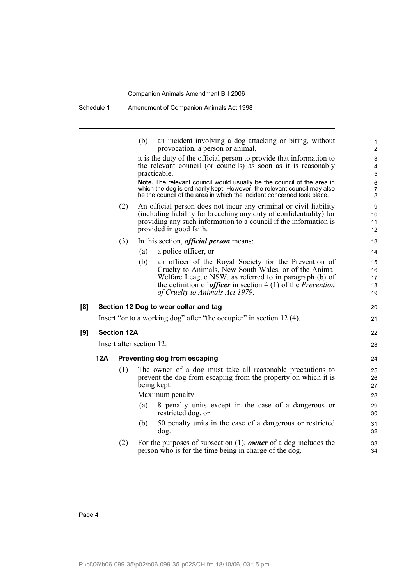|     |     |                    | (b)<br>an incident involving a dog attacking or biting, without<br>provocation, a person or animal,                                                                                                                                                                                              | 1<br>$\overline{\mathbf{c}}$ |
|-----|-----|--------------------|--------------------------------------------------------------------------------------------------------------------------------------------------------------------------------------------------------------------------------------------------------------------------------------------------|------------------------------|
|     |     |                    | it is the duty of the official person to provide that information to<br>the relevant council (or councils) as soon as it is reasonably<br>practicable.                                                                                                                                           | 3<br>4<br>5                  |
|     |     |                    | Note. The relevant council would usually be the council of the area in<br>which the dog is ordinarily kept. However, the relevant council may also<br>be the council of the area in which the incident concerned took place.                                                                     | 6<br>7<br>8                  |
|     |     | (2)                | An official person does not incur any criminal or civil liability<br>(including liability for breaching any duty of confidentiality) for<br>providing any such information to a council if the information is<br>provided in good faith.                                                         | 9<br>10<br>11<br>12          |
|     |     | (3)                | In this section, <i>official person</i> means:                                                                                                                                                                                                                                                   | 13                           |
|     |     |                    | a police officer, or<br>(a)                                                                                                                                                                                                                                                                      | 14                           |
|     |     |                    | (b)<br>an officer of the Royal Society for the Prevention of<br>Cruelty to Animals, New South Wales, or of the Animal<br>Welfare League NSW, as referred to in paragraph (b) of<br>the definition of <i>officer</i> in section 4 (1) of the <i>Prevention</i><br>of Cruelty to Animals Act 1979. | 15<br>16<br>17<br>18<br>19   |
| [8] |     |                    | Section 12 Dog to wear collar and tag                                                                                                                                                                                                                                                            | 20                           |
|     |     |                    | Insert "or to a working dog" after "the occupier" in section 12 (4).                                                                                                                                                                                                                             | 21                           |
| [9] |     | <b>Section 12A</b> |                                                                                                                                                                                                                                                                                                  | 22                           |
|     |     |                    | Insert after section 12:                                                                                                                                                                                                                                                                         | 23                           |
|     | 12A |                    | Preventing dog from escaping                                                                                                                                                                                                                                                                     | 24                           |
|     |     | (1)                | The owner of a dog must take all reasonable precautions to<br>prevent the dog from escaping from the property on which it is<br>being kept.                                                                                                                                                      | 25<br>26<br>27               |
|     |     |                    | Maximum penalty:                                                                                                                                                                                                                                                                                 | 28                           |
|     |     |                    | 8 penalty units except in the case of a dangerous or<br>(a)<br>restricted dog, or                                                                                                                                                                                                                | 29<br>30                     |
|     |     |                    | 50 penalty units in the case of a dangerous or restricted<br>(b)<br>dog.                                                                                                                                                                                                                         | 31<br>32                     |
|     |     | (2)                | For the purposes of subsection $(1)$ , <i>owner</i> of a dog includes the<br>person who is for the time being in charge of the dog.                                                                                                                                                              | 33<br>34                     |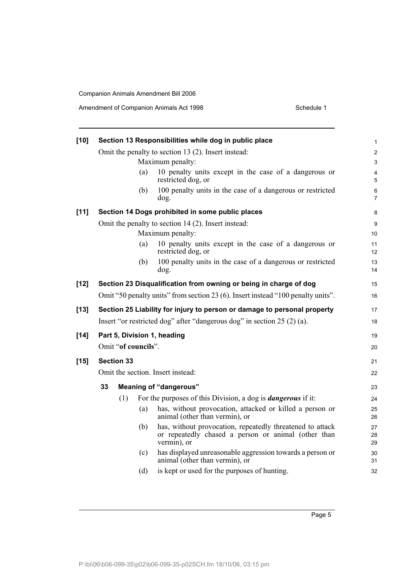| $[10]$ |                     |     | Section 13 Responsibilities while dog in public place                                                                           | 1                       |  |  |  |  |
|--------|---------------------|-----|---------------------------------------------------------------------------------------------------------------------------------|-------------------------|--|--|--|--|
|        |                     |     | Omit the penalty to section 13 (2). Insert instead:                                                                             | $\overline{\mathbf{c}}$ |  |  |  |  |
|        | Maximum penalty:    |     |                                                                                                                                 |                         |  |  |  |  |
|        |                     | (a) | 10 penalty units except in the case of a dangerous or<br>restricted dog, or                                                     | 4<br>5                  |  |  |  |  |
|        |                     | (b) | 100 penalty units in the case of a dangerous or restricted<br>dog.                                                              | 6<br>7                  |  |  |  |  |
| $[11]$ |                     |     | Section 14 Dogs prohibited in some public places                                                                                | 8                       |  |  |  |  |
|        |                     |     | Omit the penalty to section 14 (2). Insert instead:                                                                             | 9                       |  |  |  |  |
|        |                     |     | Maximum penalty:                                                                                                                | 10                      |  |  |  |  |
|        |                     | (a) | 10 penalty units except in the case of a dangerous or<br>restricted dog, or                                                     | 11<br>12                |  |  |  |  |
|        |                     | (b) | 100 penalty units in the case of a dangerous or restricted<br>dog.                                                              | 13<br>14                |  |  |  |  |
| $[12]$ |                     |     | Section 23 Disqualification from owning or being in charge of dog                                                               | 15                      |  |  |  |  |
|        |                     |     | Omit "50 penalty units" from section 23 (6). Insert instead "100 penalty units".                                                | 16                      |  |  |  |  |
|        |                     |     |                                                                                                                                 |                         |  |  |  |  |
| $[13]$ |                     |     | Section 25 Liability for injury to person or damage to personal property                                                        | 17                      |  |  |  |  |
|        |                     |     | Insert "or restricted dog" after "dangerous dog" in section 25 (2) (a).                                                         | 18                      |  |  |  |  |
| $[14]$ |                     |     | Part 5, Division 1, heading                                                                                                     | 19                      |  |  |  |  |
|        | Omit "of councils". |     |                                                                                                                                 | 20                      |  |  |  |  |
| $[15]$ | <b>Section 33</b>   |     |                                                                                                                                 | 21                      |  |  |  |  |
|        |                     |     | Omit the section. Insert instead:                                                                                               | 22                      |  |  |  |  |
|        | 33                  |     | <b>Meaning of "dangerous"</b>                                                                                                   | 23                      |  |  |  |  |
|        | (1)                 |     | For the purposes of this Division, a dog is <i>dangerous</i> if it:                                                             | 24                      |  |  |  |  |
|        |                     | (a) | has, without provocation, attacked or killed a person or<br>animal (other than vermin), or                                      | 25<br>26                |  |  |  |  |
|        |                     | (b) | has, without provocation, repeatedly threatened to attack<br>or repeatedly chased a person or animal (other than<br>vermin), or | 27<br>28<br>29          |  |  |  |  |
|        |                     | (c) | has displayed unreasonable aggression towards a person or<br>animal (other than vermin), or                                     | 30<br>31                |  |  |  |  |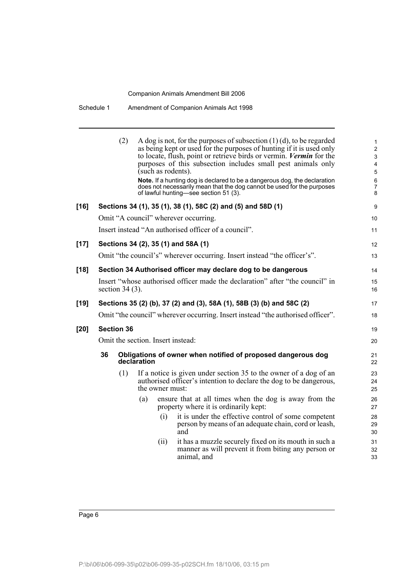| Schedule 1 | Amendment of Companion Animals Act 1998 |
|------------|-----------------------------------------|
|------------|-----------------------------------------|

|        |    | (2)               | (such as rodents).                | A dog is not, for the purposes of subsection $(1)$ (d), to be regarded<br>as being kept or used for the purposes of hunting if it is used only<br>to locate, flush, point or retrieve birds or vermin. Vermin for the<br>purposes of this subsection includes small pest animals only<br>Note. If a hunting dog is declared to be a dangerous dog, the declaration<br>does not necessarily mean that the dog cannot be used for the purposes<br>of lawful hunting-see section 51 (3). | $\mathbf{1}$<br>2<br>$\ensuremath{\mathsf{3}}$<br>$\overline{\mathbf{4}}$<br>$\mathbf 5$<br>$\,6\,$<br>$\boldsymbol{7}$<br>$\bf 8$ |
|--------|----|-------------------|-----------------------------------|---------------------------------------------------------------------------------------------------------------------------------------------------------------------------------------------------------------------------------------------------------------------------------------------------------------------------------------------------------------------------------------------------------------------------------------------------------------------------------------|------------------------------------------------------------------------------------------------------------------------------------|
| $[16]$ |    |                   |                                   | Sections 34 (1), 35 (1), 38 (1), 58C (2) and (5) and 58D (1)                                                                                                                                                                                                                                                                                                                                                                                                                          | 9                                                                                                                                  |
|        |    |                   |                                   | Omit "A council" wherever occurring.                                                                                                                                                                                                                                                                                                                                                                                                                                                  | 10                                                                                                                                 |
|        |    |                   |                                   | Insert instead "An authorised officer of a council".                                                                                                                                                                                                                                                                                                                                                                                                                                  | 11                                                                                                                                 |
| $[17]$ |    |                   |                                   | Sections 34 (2), 35 (1) and 58A (1)                                                                                                                                                                                                                                                                                                                                                                                                                                                   | $12 \overline{ }$                                                                                                                  |
|        |    |                   |                                   | Omit "the council's" wherever occurring. Insert instead "the officer's".                                                                                                                                                                                                                                                                                                                                                                                                              | 13                                                                                                                                 |
| $[18]$ |    |                   |                                   | Section 34 Authorised officer may declare dog to be dangerous                                                                                                                                                                                                                                                                                                                                                                                                                         | 14                                                                                                                                 |
|        |    | section $34(3)$ . |                                   | Insert "whose authorised officer made the declaration" after "the council" in                                                                                                                                                                                                                                                                                                                                                                                                         | 15<br>16                                                                                                                           |
| $[19]$ |    |                   |                                   | Sections 35 (2) (b), 37 (2) and (3), 58A (1), 58B (3) (b) and 58C (2)                                                                                                                                                                                                                                                                                                                                                                                                                 | 17                                                                                                                                 |
|        |    |                   |                                   | Omit "the council" wherever occurring. Insert instead "the authorised officer".                                                                                                                                                                                                                                                                                                                                                                                                       | 18                                                                                                                                 |
| [20]   |    | <b>Section 36</b> |                                   |                                                                                                                                                                                                                                                                                                                                                                                                                                                                                       | 19                                                                                                                                 |
|        |    |                   | Omit the section. Insert instead: |                                                                                                                                                                                                                                                                                                                                                                                                                                                                                       | 20                                                                                                                                 |
|        | 36 |                   | declaration                       | Obligations of owner when notified of proposed dangerous dog                                                                                                                                                                                                                                                                                                                                                                                                                          | 21<br>22                                                                                                                           |
|        |    | (1)               | the owner must:                   | If a notice is given under section 35 to the owner of a dog of an<br>authorised officer's intention to declare the dog to be dangerous,                                                                                                                                                                                                                                                                                                                                               | 23<br>24<br>25                                                                                                                     |
|        |    |                   | (a)                               | ensure that at all times when the dog is away from the<br>property where it is ordinarily kept:                                                                                                                                                                                                                                                                                                                                                                                       | 26<br>27                                                                                                                           |
|        |    |                   | (i)                               | it is under the effective control of some competent<br>person by means of an adequate chain, cord or leash,<br>and                                                                                                                                                                                                                                                                                                                                                                    | 28<br>29<br>30                                                                                                                     |
|        |    |                   | (ii)                              | it has a muzzle securely fixed on its mouth in such a<br>manner as will prevent it from biting any person or<br>animal, and                                                                                                                                                                                                                                                                                                                                                           | 31<br>32<br>33                                                                                                                     |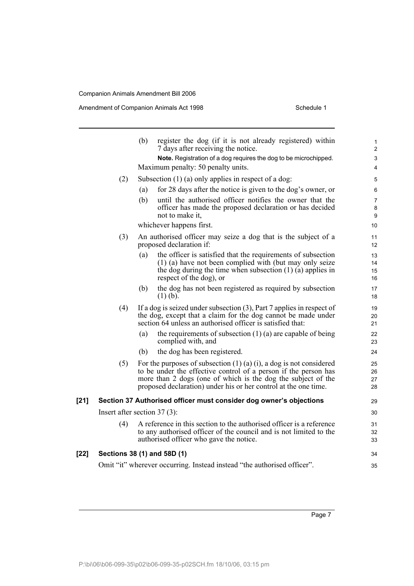Amendment of Companion Animals Act 1998 Schedule 1

|        |                                | (b) | register the dog (if it is not already registered) within<br>7 days after receiving the notice.                                                                                                                                                                                  | $\mathbf{1}$<br>$\overline{2}$ |
|--------|--------------------------------|-----|----------------------------------------------------------------------------------------------------------------------------------------------------------------------------------------------------------------------------------------------------------------------------------|--------------------------------|
|        |                                |     | Note. Registration of a dog requires the dog to be microchipped.<br>Maximum penalty: 50 penalty units.                                                                                                                                                                           | 3<br>4                         |
|        | (2)                            |     | Subsection $(1)$ (a) only applies in respect of a dog:                                                                                                                                                                                                                           | 5                              |
|        |                                | (a) | for 28 days after the notice is given to the dog's owner, or                                                                                                                                                                                                                     | 6                              |
|        |                                | (b) | until the authorised officer notifies the owner that the<br>officer has made the proposed declaration or has decided<br>not to make it,                                                                                                                                          | 7<br>$\bf 8$<br>9              |
|        |                                |     | whichever happens first.                                                                                                                                                                                                                                                         | 10 <sup>°</sup>                |
|        | (3)                            |     | An authorised officer may seize a dog that is the subject of a<br>proposed declaration if:                                                                                                                                                                                       | 11<br>12                       |
|        |                                | (a) | the officer is satisfied that the requirements of subsection<br>(1) (a) have not been complied with (but may only seize<br>the dog during the time when subsection $(1)$ $(a)$ applies in<br>respect of the dog), or                                                             | 13<br>14<br>15<br>16           |
|        |                                | (b) | the dog has not been registered as required by subsection<br>$(1)$ (b).                                                                                                                                                                                                          | 17<br>18                       |
|        | (4)                            |     | If a dog is seized under subsection $(3)$ , Part 7 applies in respect of<br>the dog, except that a claim for the dog cannot be made under<br>section 64 unless an authorised officer is satisfied that:                                                                          | 19<br>20<br>21                 |
|        |                                | (a) | the requirements of subsection $(1)$ (a) are capable of being<br>complied with, and                                                                                                                                                                                              | 22<br>23                       |
|        |                                | (b) | the dog has been registered.                                                                                                                                                                                                                                                     | 24                             |
|        | (5)                            |     | For the purposes of subsection $(1)$ $(a)$ $(i)$ , a dog is not considered<br>to be under the effective control of a person if the person has<br>more than 2 dogs (one of which is the dog the subject of the<br>proposed declaration) under his or her control at the one time. | 25<br>26<br>27<br>28           |
| $[21]$ |                                |     | Section 37 Authorised officer must consider dog owner's objections                                                                                                                                                                                                               | 29                             |
|        | Insert after section $37(3)$ : |     |                                                                                                                                                                                                                                                                                  | 30                             |
|        | (4)                            |     | A reference in this section to the authorised officer is a reference<br>to any authorised officer of the council and is not limited to the<br>authorised officer who gave the notice.                                                                                            | 31<br>32<br>33                 |
| $[22]$ | Sections 38 (1) and 58D (1)    |     |                                                                                                                                                                                                                                                                                  | 34                             |
|        |                                |     | Omit "it" wherever occurring. Instead instead "the authorised officer".                                                                                                                                                                                                          | 35                             |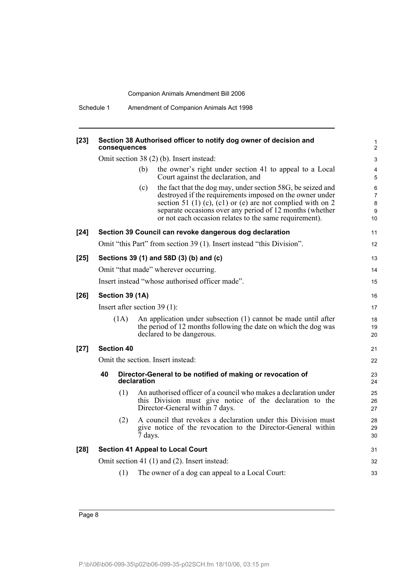| $[23]$ |    | consequences      | Section 38 Authorised officer to notify dog owner of decision and                                                                                                                                                                                                                                                  | 1<br>$\overline{\mathbf{c}}$ |
|--------|----|-------------------|--------------------------------------------------------------------------------------------------------------------------------------------------------------------------------------------------------------------------------------------------------------------------------------------------------------------|------------------------------|
|        |    |                   | Omit section 38 (2) (b). Insert instead:                                                                                                                                                                                                                                                                           | 3                            |
|        |    |                   | (b)<br>the owner's right under section 41 to appeal to a Local<br>Court against the declaration, and                                                                                                                                                                                                               | 4<br>5                       |
|        |    |                   | the fact that the dog may, under section 58G, be seized and<br>(c)<br>destroyed if the requirements imposed on the owner under<br>section 51 (1) (c), (c1) or (e) are not complied with on 2<br>separate occasions over any period of 12 months (whether<br>or not each occasion relates to the same requirement). | 6<br>7<br>8<br>9<br>10       |
| $[24]$ |    |                   | Section 39 Council can revoke dangerous dog declaration                                                                                                                                                                                                                                                            | 11                           |
|        |    |                   | Omit "this Part" from section 39 (1). Insert instead "this Division".                                                                                                                                                                                                                                              | 12                           |
| $[25]$ |    |                   | Sections 39 (1) and 58D (3) (b) and (c)                                                                                                                                                                                                                                                                            | 13                           |
|        |    |                   | Omit "that made" wherever occurring.                                                                                                                                                                                                                                                                               | 14                           |
|        |    |                   | Insert instead "whose authorised officer made".                                                                                                                                                                                                                                                                    | 15                           |
| $[26]$ |    | Section 39 (1A)   |                                                                                                                                                                                                                                                                                                                    | 16                           |
|        |    |                   | Insert after section 39 (1):                                                                                                                                                                                                                                                                                       | 17                           |
|        |    | (1A)              | An application under subsection (1) cannot be made until after<br>the period of 12 months following the date on which the dog was<br>declared to be dangerous.                                                                                                                                                     | 18<br>19<br>20               |
| $[27]$ |    | <b>Section 40</b> |                                                                                                                                                                                                                                                                                                                    | 21                           |
|        |    |                   | Omit the section. Insert instead:                                                                                                                                                                                                                                                                                  | 22                           |
|        | 40 |                   | Director-General to be notified of making or revocation of<br>declaration                                                                                                                                                                                                                                          | 23<br>24                     |
|        |    | (1)               | An authorised officer of a council who makes a declaration under<br>this Division must give notice of the declaration to the<br>Director-General within 7 days.                                                                                                                                                    | 25<br>26<br>27               |
|        |    | (2)               | A council that revokes a declaration under this Division must<br>give notice of the revocation to the Director-General within<br>7 days.                                                                                                                                                                           | 28<br>29<br>30               |
| $[28]$ |    |                   | <b>Section 41 Appeal to Local Court</b>                                                                                                                                                                                                                                                                            | 31                           |
|        |    |                   | Omit section 41 (1) and (2). Insert instead:                                                                                                                                                                                                                                                                       | 32                           |
|        |    | (1)               | The owner of a dog can appeal to a Local Court:                                                                                                                                                                                                                                                                    | 33                           |
|        |    |                   |                                                                                                                                                                                                                                                                                                                    |                              |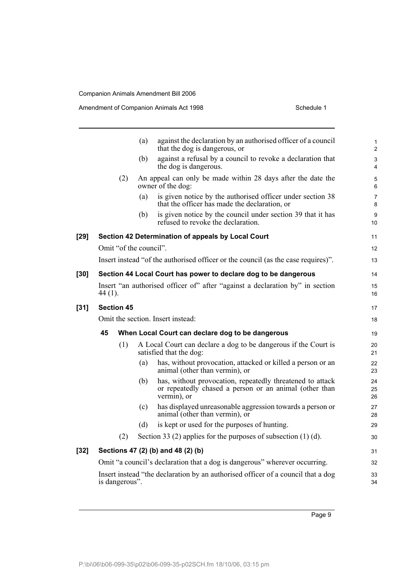|        |                                   | (a)                                              | against the declaration by an authorised officer of a council<br>that the dog is dangerous, or                                     | $\mathbf{1}$<br>2   |  |  |
|--------|-----------------------------------|--------------------------------------------------|------------------------------------------------------------------------------------------------------------------------------------|---------------------|--|--|
|        |                                   | (b)                                              | against a refusal by a council to revoke a declaration that<br>the dog is dangerous.                                               | 3<br>4              |  |  |
|        | (2)                               |                                                  | An appeal can only be made within 28 days after the date the<br>owner of the dog:                                                  | 5<br>6              |  |  |
|        |                                   | (a)                                              | is given notice by the authorised officer under section 38<br>that the officer has made the declaration, or                        | $\overline{7}$<br>8 |  |  |
|        |                                   | (b)                                              | is given notice by the council under section 39 that it has<br>refused to revoke the declaration.                                  | 9<br>10             |  |  |
| $[29]$ |                                   |                                                  | Section 42 Determination of appeals by Local Court                                                                                 | 11                  |  |  |
|        | Omit "of the council".            |                                                  |                                                                                                                                    | 12                  |  |  |
|        |                                   |                                                  | Insert instead "of the authorised officer or the council (as the case requires)".                                                  | 13                  |  |  |
| $[30]$ |                                   |                                                  | Section 44 Local Court has power to declare dog to be dangerous                                                                    | 14                  |  |  |
|        | 44 (1).                           |                                                  | Insert "an authorised officer of" after "against a declaration by" in section                                                      | 15<br>16            |  |  |
| $[31]$ | <b>Section 45</b>                 |                                                  |                                                                                                                                    |                     |  |  |
|        | Omit the section. Insert instead: |                                                  |                                                                                                                                    |                     |  |  |
|        | 45                                | When Local Court can declare dog to be dangerous |                                                                                                                                    |                     |  |  |
|        | (1)                               |                                                  | A Local Court can declare a dog to be dangerous if the Court is<br>satisfied that the dog:                                         | 20<br>21            |  |  |
|        |                                   | (a)                                              | has, without provocation, attacked or killed a person or an<br>animal (other than vermin), or                                      | 22<br>23            |  |  |
|        |                                   | (b)                                              | has, without provocation, repeatedly threatened to attack<br>or repeatedly chased a person or an animal (other than<br>vermin), or | 24<br>25<br>26      |  |  |
|        |                                   | (c)                                              | has displayed unreasonable aggression towards a person or<br>animal (other than vermin), or                                        | 27<br>28            |  |  |
|        |                                   | (d)                                              | is kept or used for the purposes of hunting.                                                                                       | 29                  |  |  |
|        | (2)                               |                                                  | Section 33 (2) applies for the purposes of subsection $(1)$ (d).                                                                   | 30                  |  |  |
| $[32]$ |                                   |                                                  | Sections 47 (2) (b) and 48 (2) (b)                                                                                                 | 31                  |  |  |
|        |                                   |                                                  | Omit "a council's declaration that a dog is dangerous" wherever occurring.                                                         | 32                  |  |  |
|        | is dangerous".                    |                                                  | Insert instead "the declaration by an authorised officer of a council that a dog                                                   | 33<br>34            |  |  |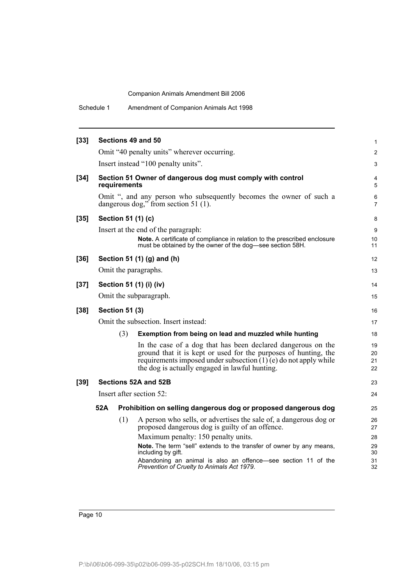Schedule 1 Amendment of Companion Animals Act 1998

| $[33]$ |                       | Sections 49 and 50                                                                                                                                                                                                                                     | $\mathbf{1}$         |
|--------|-----------------------|--------------------------------------------------------------------------------------------------------------------------------------------------------------------------------------------------------------------------------------------------------|----------------------|
|        |                       | Omit "40 penalty units" wherever occurring.                                                                                                                                                                                                            | $\overline{2}$       |
|        |                       | Insert instead "100 penalty units".                                                                                                                                                                                                                    | 3                    |
| $[34]$ | requirements          | Section 51 Owner of dangerous dog must comply with control                                                                                                                                                                                             | 4<br>5               |
|        |                       | Omit ", and any person who subsequently becomes the owner of such a<br>dangerous dog," from section 51 (1).                                                                                                                                            | 6<br>$\overline{7}$  |
| $[35]$ | Section 51 (1) (c)    |                                                                                                                                                                                                                                                        | 8                    |
|        |                       | Insert at the end of the paragraph:                                                                                                                                                                                                                    | 9                    |
|        |                       | Note. A certificate of compliance in relation to the prescribed enclosure<br>must be obtained by the owner of the dog—see section 58H.                                                                                                                 | 10<br>11             |
| $[36]$ |                       | Section 51 (1) (g) and (h)                                                                                                                                                                                                                             | 12                   |
|        |                       | Omit the paragraphs.                                                                                                                                                                                                                                   | 13                   |
| $[37]$ |                       | Section 51 (1) (i) (iv)                                                                                                                                                                                                                                | 14                   |
|        |                       | Omit the subparagraph.                                                                                                                                                                                                                                 | 15                   |
| $[38]$ | <b>Section 51 (3)</b> |                                                                                                                                                                                                                                                        | 16                   |
|        |                       | Omit the subsection. Insert instead:                                                                                                                                                                                                                   | 17                   |
|        | (3)                   | Exemption from being on lead and muzzled while hunting                                                                                                                                                                                                 | 18                   |
|        |                       | In the case of a dog that has been declared dangerous on the<br>ground that it is kept or used for the purposes of hunting, the<br>requirements imposed under subsection $(1)(e)$ do not apply while<br>the dog is actually engaged in lawful hunting. | 19<br>20<br>21<br>22 |
| $[39]$ |                       | Sections 52A and 52B                                                                                                                                                                                                                                   | 23                   |
|        |                       | Insert after section 52:                                                                                                                                                                                                                               | 24                   |
|        | 52A                   | Prohibition on selling dangerous dog or proposed dangerous dog                                                                                                                                                                                         | 25                   |
|        | (1)                   | A person who sells, or advertises the sale of, a dangerous dog or<br>proposed dangerous dog is guilty of an offence.                                                                                                                                   | 26<br>27             |
|        |                       | Maximum penalty: 150 penalty units.                                                                                                                                                                                                                    | 28                   |
|        |                       | Note. The term "sell" extends to the transfer of owner by any means,<br>including by gift.                                                                                                                                                             | 29<br>30             |
|        |                       | Abandoning an animal is also an offence—see section 11 of the<br>Prevention of Cruelty to Animals Act 1979.                                                                                                                                            | 31<br>32             |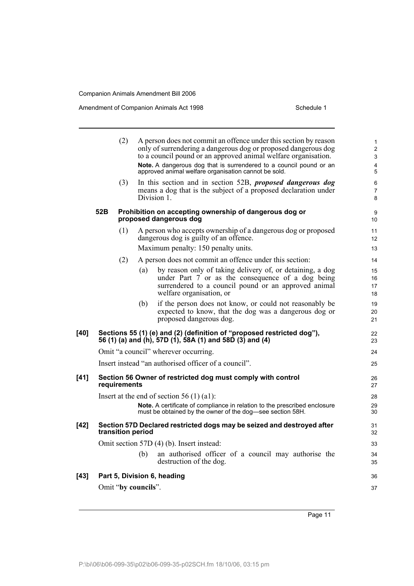### Amendment of Companion Animals Act 1998 Schedule 1

|      |     | (2)                 |     | A person does not commit an offence under this section by reason<br>only of surrendering a dangerous dog or proposed dangerous dog<br>to a council pound or an approved animal welfare organisation.<br>Note. A dangerous dog that is surrendered to a council pound or an<br>approved animal welfare organisation cannot be sold. | $\mathbf{1}$<br>$\mathbf{2}$<br>3<br>$\overline{\mathbf{4}}$<br>5 |
|------|-----|---------------------|-----|------------------------------------------------------------------------------------------------------------------------------------------------------------------------------------------------------------------------------------------------------------------------------------------------------------------------------------|-------------------------------------------------------------------|
|      |     | (3)                 |     | In this section and in section 52B, <i>proposed dangerous dog</i><br>means a dog that is the subject of a proposed declaration under<br>Division 1.                                                                                                                                                                                | 6<br>$\overline{7}$<br>8                                          |
|      | 52B |                     |     | Prohibition on accepting ownership of dangerous dog or<br>proposed dangerous dog                                                                                                                                                                                                                                                   | 9<br>10                                                           |
|      |     | (1)                 |     | A person who accepts ownership of a dangerous dog or proposed<br>dangerous dog is guilty of an offence.<br>Maximum penalty: 150 penalty units.                                                                                                                                                                                     | 11<br>12<br>13                                                    |
|      |     | (2)                 |     | A person does not commit an offence under this section:                                                                                                                                                                                                                                                                            | 14                                                                |
|      |     |                     | (a) | by reason only of taking delivery of, or detaining, a dog<br>under Part 7 or as the consequence of a dog being<br>surrendered to a council pound or an approved animal<br>welfare organisation, or                                                                                                                                 | 15<br>16<br>17<br>18                                              |
|      |     |                     | (b) | if the person does not know, or could not reasonably be<br>expected to know, that the dog was a dangerous dog or<br>proposed dangerous dog.                                                                                                                                                                                        | 19<br>20<br>21                                                    |
| [40] |     |                     |     | Sections 55 (1) (e) and (2) (definition of "proposed restricted dog"),<br>56 (1) (a) and (h), 57D (1), 58A (1) and 58D (3) and (4)                                                                                                                                                                                                 | 22<br>23                                                          |
|      |     |                     |     | Omit "a council" wherever occurring.                                                                                                                                                                                                                                                                                               | 24                                                                |
|      |     |                     |     | Insert instead "an authorised officer of a council".                                                                                                                                                                                                                                                                               | 25                                                                |
| [41] |     | requirements        |     | Section 56 Owner of restricted dog must comply with control                                                                                                                                                                                                                                                                        | 26<br>27                                                          |
|      |     |                     |     | Insert at the end of section 56 $(1)$ (a1):<br>Note. A certificate of compliance in relation to the prescribed enclosure<br>must be obtained by the owner of the dog-see section 58H.                                                                                                                                              | 28<br>29<br>30                                                    |
| [42] |     | transition period   |     | Section 57D Declared restricted dogs may be seized and destroyed after                                                                                                                                                                                                                                                             | 31<br>32                                                          |
|      |     |                     |     | Omit section 57D (4) (b). Insert instead:                                                                                                                                                                                                                                                                                          | 33                                                                |
|      |     |                     | (b) | an authorised officer of a council may authorise the<br>destruction of the dog.                                                                                                                                                                                                                                                    | 34<br>35                                                          |
| [43] |     |                     |     | Part 5, Division 6, heading                                                                                                                                                                                                                                                                                                        | 36                                                                |
|      |     | Omit "by councils". |     |                                                                                                                                                                                                                                                                                                                                    | 37                                                                |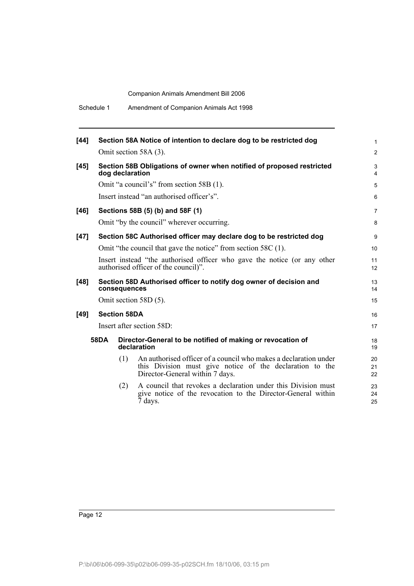| $[44]$ |                                                                                                                  |                     | Section 58A Notice of intention to declare dog to be restricted dog                                                                                             | $\mathbf{1}$        |  |  |  |  |
|--------|------------------------------------------------------------------------------------------------------------------|---------------------|-----------------------------------------------------------------------------------------------------------------------------------------------------------------|---------------------|--|--|--|--|
|        |                                                                                                                  |                     | Omit section 58A (3).                                                                                                                                           | $\overline{2}$      |  |  |  |  |
| $[45]$ |                                                                                                                  | dog declaration     | Section 58B Obligations of owner when notified of proposed restricted                                                                                           | 3<br>$\overline{4}$ |  |  |  |  |
|        |                                                                                                                  |                     | Omit "a council's" from section 58B (1).                                                                                                                        | 5                   |  |  |  |  |
|        |                                                                                                                  |                     | Insert instead "an authorised officer's".                                                                                                                       | 6                   |  |  |  |  |
| [46]   |                                                                                                                  |                     | Sections 58B (5) (b) and 58F (1)                                                                                                                                | $\overline{7}$      |  |  |  |  |
|        |                                                                                                                  |                     | Omit "by the council" wherever occurring.                                                                                                                       | 8                   |  |  |  |  |
| [47]   |                                                                                                                  |                     | Section 58C Authorised officer may declare dog to be restricted dog                                                                                             | 9                   |  |  |  |  |
|        | Omit "the council that gave the notice" from section 58C (1).                                                    |                     |                                                                                                                                                                 |                     |  |  |  |  |
|        | Insert instead "the authorised officer who gave the notice (or any other<br>authorised officer of the council)". |                     |                                                                                                                                                                 |                     |  |  |  |  |
| $[48]$ |                                                                                                                  | consequences        | Section 58D Authorised officer to notify dog owner of decision and                                                                                              | 13<br>14            |  |  |  |  |
|        |                                                                                                                  |                     | Omit section 58D (5).                                                                                                                                           | 15                  |  |  |  |  |
| $[49]$ |                                                                                                                  | <b>Section 58DA</b> |                                                                                                                                                                 | 16                  |  |  |  |  |
|        |                                                                                                                  |                     | Insert after section 58D:                                                                                                                                       | 17                  |  |  |  |  |
|        | <b>58DA</b>                                                                                                      |                     | Director-General to be notified of making or revocation of<br>declaration                                                                                       | 18<br>19            |  |  |  |  |
|        |                                                                                                                  | (1)                 | An authorised officer of a council who makes a declaration under<br>this Division must give notice of the declaration to the<br>Director-General within 7 days. | 20<br>21<br>22      |  |  |  |  |
|        |                                                                                                                  | (2)                 | A council that revokes a declaration under this Division must<br>give notice of the revocation to the Director-General within<br>7 days.                        | 23<br>24<br>25      |  |  |  |  |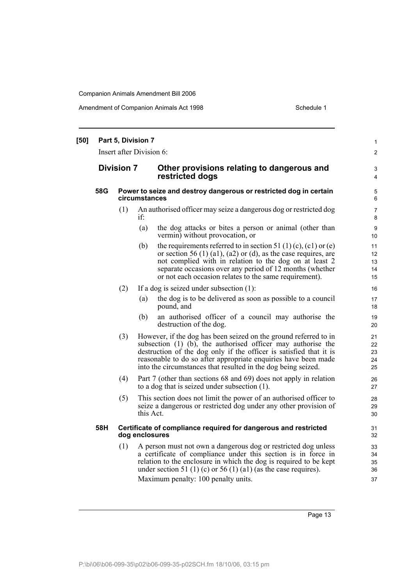### Amendment of Companion Animals Act 1998 Schedule 1

| [50] | Part 5, Division 7<br>Insert after Division 6: |                   |                |                                                                                                                                                                                                                                                                                                                                           |                            |  |  |  |  |
|------|------------------------------------------------|-------------------|----------------|-------------------------------------------------------------------------------------------------------------------------------------------------------------------------------------------------------------------------------------------------------------------------------------------------------------------------------------------|----------------------------|--|--|--|--|
|      |                                                | <b>Division 7</b> |                | Other provisions relating to dangerous and<br>restricted dogs                                                                                                                                                                                                                                                                             |                            |  |  |  |  |
|      | 58G<br>circumstances                           |                   |                | Power to seize and destroy dangerous or restricted dog in certain                                                                                                                                                                                                                                                                         |                            |  |  |  |  |
|      |                                                | (1)               | if:            | An authorised officer may seize a dangerous dog or restricted dog                                                                                                                                                                                                                                                                         | 7<br>8                     |  |  |  |  |
|      |                                                |                   | (a)            | the dog attacks or bites a person or animal (other than<br>vermin) without provocation, or                                                                                                                                                                                                                                                | 9<br>10                    |  |  |  |  |
|      |                                                |                   | (b)            | the requirements referred to in section 51 (1)(c), (c1) or (e)<br>or section 56 (1) (a1), (a2) or (d), as the case requires, are<br>not complied with in relation to the dog on at least 2<br>separate occasions over any period of 12 months (whether<br>or not each occasion relates to the same requirement).                          | 11<br>12<br>13<br>14<br>15 |  |  |  |  |
|      |                                                | (2)               |                | If a dog is seized under subsection $(1)$ :                                                                                                                                                                                                                                                                                               | 16                         |  |  |  |  |
|      |                                                |                   | (a)            | the dog is to be delivered as soon as possible to a council<br>pound, and                                                                                                                                                                                                                                                                 | 17<br>18                   |  |  |  |  |
|      |                                                |                   | (b)            | an authorised officer of a council may authorise the<br>destruction of the dog.                                                                                                                                                                                                                                                           | 19<br>20                   |  |  |  |  |
|      |                                                | (3)               |                | However, if the dog has been seized on the ground referred to in<br>subsection (1) (b), the authorised officer may authorise the<br>destruction of the dog only if the officer is satisfied that it is<br>reasonable to do so after appropriate enquiries have been made<br>into the circumstances that resulted in the dog being seized. | 21<br>22<br>23<br>24<br>25 |  |  |  |  |
|      |                                                | (4)               |                | Part 7 (other than sections 68 and 69) does not apply in relation<br>to a dog that is seized under subsection (1).                                                                                                                                                                                                                        | 26<br>27                   |  |  |  |  |
|      |                                                | (5)               | this Act.      | This section does not limit the power of an authorised officer to<br>seize a dangerous or restricted dog under any other provision of                                                                                                                                                                                                     | 28<br>29<br>30             |  |  |  |  |
|      | 58H                                            |                   | dog enclosures | Certificate of compliance required for dangerous and restricted                                                                                                                                                                                                                                                                           | 31<br>32                   |  |  |  |  |
|      |                                                | (1)               |                | A person must not own a dangerous dog or restricted dog unless<br>a certificate of compliance under this section is in force in<br>relation to the enclosure in which the dog is required to be kept<br>under section 51 (1) (c) or 56 (1) (a1) (as the case requires).                                                                   | 33<br>34<br>35<br>36       |  |  |  |  |
|      |                                                |                   |                | Maximum penalty: 100 penalty units.                                                                                                                                                                                                                                                                                                       | 37                         |  |  |  |  |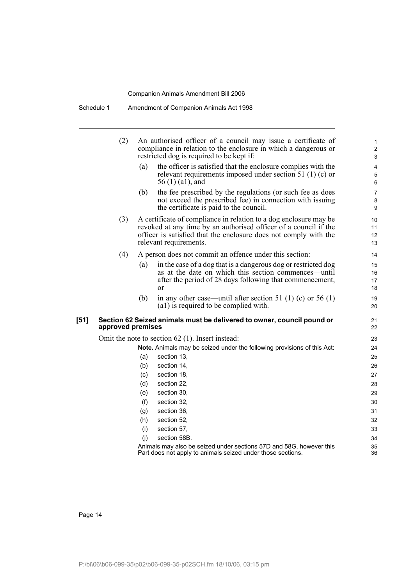|      | (2)                                              |     | An authorised officer of a council may issue a certificate of<br>compliance in relation to the enclosure in which a dangerous or<br>restricted dog is required to be kept if:                                                       | $\mathbf{1}$<br>$\overline{c}$<br>$\mathfrak{S}$ |  |  |  |
|------|--------------------------------------------------|-----|-------------------------------------------------------------------------------------------------------------------------------------------------------------------------------------------------------------------------------------|--------------------------------------------------|--|--|--|
|      |                                                  | (a) | the officer is satisfied that the enclosure complies with the<br>relevant requirements imposed under section 51 $(1)$ (c) or<br>$56(1)(a1)$ , and                                                                                   | 4<br>$\sqrt{5}$<br>$\,6\,$                       |  |  |  |
|      |                                                  | (b) | the fee prescribed by the regulations (or such fee as does<br>not exceed the prescribed fee) in connection with issuing<br>the certificate is paid to the council.                                                                  | $\overline{7}$<br>$\bf 8$<br>9                   |  |  |  |
|      | (3)                                              |     | A certificate of compliance in relation to a dog enclosure may be<br>revoked at any time by an authorised officer of a council if the<br>officer is satisfied that the enclosure does not comply with the<br>relevant requirements. | 10<br>11<br>12<br>13                             |  |  |  |
|      | (4)                                              |     | A person does not commit an offence under this section:                                                                                                                                                                             | 14                                               |  |  |  |
|      |                                                  | (a) | in the case of a dog that is a dangerous dog or restricted dog<br>as at the date on which this section commences—until<br>after the period of 28 days following that commencement,<br><sub>or</sub>                                 | 15<br>16<br>17<br>18                             |  |  |  |
|      |                                                  | (b) | in any other case—until after section 51 (1) (c) or 56 (1)<br>(a1) is required to be complied with.                                                                                                                                 | 19<br>20                                         |  |  |  |
| [51] | approved premises                                |     | Section 62 Seized animals must be delivered to owner, council pound or                                                                                                                                                              | 21<br>22                                         |  |  |  |
|      | Omit the note to section 62 (1). Insert instead: |     |                                                                                                                                                                                                                                     |                                                  |  |  |  |
|      |                                                  |     | Note. Animals may be seized under the following provisions of this Act:                                                                                                                                                             | 24                                               |  |  |  |
|      |                                                  | (a) | section 13,                                                                                                                                                                                                                         | 25                                               |  |  |  |
|      |                                                  | (b) | section 14.                                                                                                                                                                                                                         | 26                                               |  |  |  |
|      |                                                  | (c) | section 18,                                                                                                                                                                                                                         | 27                                               |  |  |  |
|      |                                                  | (d) | section 22,                                                                                                                                                                                                                         | 28                                               |  |  |  |
|      |                                                  | (e) | section 30,                                                                                                                                                                                                                         | 29                                               |  |  |  |
|      |                                                  | (f) | section 32,                                                                                                                                                                                                                         | 30                                               |  |  |  |
|      |                                                  | (g) | section 36,                                                                                                                                                                                                                         | 31                                               |  |  |  |
|      |                                                  | (h) | section 52,                                                                                                                                                                                                                         | 32                                               |  |  |  |
|      |                                                  | (i) | section 57,                                                                                                                                                                                                                         | 33                                               |  |  |  |
|      |                                                  | (i) | section 58B.<br>Animals may also be seized under sections 57D and 58G, however this                                                                                                                                                 | 34                                               |  |  |  |
|      |                                                  |     | Part does not apply to animals seized under those sections.                                                                                                                                                                         | 35<br>36                                         |  |  |  |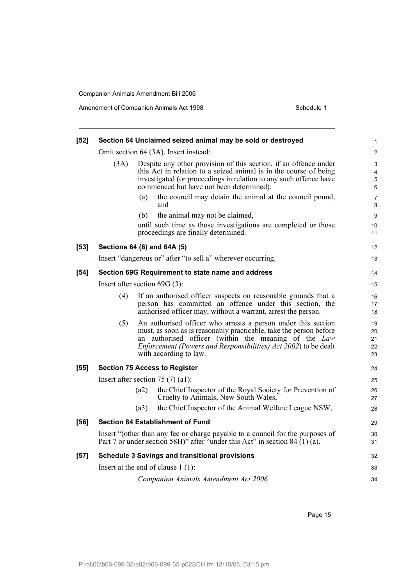| $[52]$ | Section 64 Unclaimed seized animal may be sold or destroyed                                                                                                   |                                                                                                                                                                                                                                                                                          |                            |  |  |  |  |
|--------|---------------------------------------------------------------------------------------------------------------------------------------------------------------|------------------------------------------------------------------------------------------------------------------------------------------------------------------------------------------------------------------------------------------------------------------------------------------|----------------------------|--|--|--|--|
|        |                                                                                                                                                               | Omit section 64 (3A). Insert instead:                                                                                                                                                                                                                                                    | $\overline{\mathbf{c}}$    |  |  |  |  |
|        | (3A)                                                                                                                                                          | Despite any other provision of this section, if an offence under<br>this Act in relation to a seized animal is in the course of being<br>investigated (or proceedings in relation to any such offence have<br>commenced but have not been determined):                                   | 3<br>4<br>5<br>6           |  |  |  |  |
|        |                                                                                                                                                               | the council may detain the animal at the council pound,<br>(a)<br>and                                                                                                                                                                                                                    | 7<br>8                     |  |  |  |  |
|        |                                                                                                                                                               | (b)<br>the animal may not be claimed,                                                                                                                                                                                                                                                    | 9                          |  |  |  |  |
|        |                                                                                                                                                               | until such time as those investigations are completed or those<br>proceedings are finally determined.                                                                                                                                                                                    | 10<br>11                   |  |  |  |  |
| $[53]$ | Sections 64 (6) and 64A (5)                                                                                                                                   |                                                                                                                                                                                                                                                                                          |                            |  |  |  |  |
|        |                                                                                                                                                               | Insert "dangerous or" after "to sell a" wherever occurring.                                                                                                                                                                                                                              | 13                         |  |  |  |  |
| $[54]$ |                                                                                                                                                               | Section 69G Requirement to state name and address                                                                                                                                                                                                                                        | 14                         |  |  |  |  |
|        | Insert after section $69G(3)$ :                                                                                                                               |                                                                                                                                                                                                                                                                                          |                            |  |  |  |  |
|        | (4)                                                                                                                                                           | If an authorised officer suspects on reasonable grounds that a<br>person has committed an offence under this section, the<br>authorised officer may, without a warrant, arrest the person.                                                                                               | 16<br>17<br>18             |  |  |  |  |
|        | (5)                                                                                                                                                           | An authorised officer who arrests a person under this section<br>must, as soon as is reasonably practicable, take the person before<br>an authorised officer (within the meaning of the Law<br>Enforcement (Powers and Responsibilities) Act 2002) to be dealt<br>with according to law. | 19<br>20<br>21<br>22<br>23 |  |  |  |  |
| $[55]$ |                                                                                                                                                               | <b>Section 75 Access to Register</b>                                                                                                                                                                                                                                                     | 24                         |  |  |  |  |
|        |                                                                                                                                                               | Insert after section $75(7)(a1)$ :                                                                                                                                                                                                                                                       | 25                         |  |  |  |  |
|        |                                                                                                                                                               | the Chief Inspector of the Royal Society for Prevention of<br>(a2)<br>Cruelty to Animals, New South Wales,                                                                                                                                                                               | 26<br>27                   |  |  |  |  |
|        |                                                                                                                                                               | the Chief Inspector of the Animal Welfare League NSW,<br>(a3)                                                                                                                                                                                                                            | 28                         |  |  |  |  |
| $[56]$ |                                                                                                                                                               | <b>Section 84 Establishment of Fund</b>                                                                                                                                                                                                                                                  | 29                         |  |  |  |  |
|        | Insert "(other than any fee or charge payable to a council for the purposes of<br>Part 7 or under section 58H)" after "under this Act" in section 84 (1) (a). |                                                                                                                                                                                                                                                                                          |                            |  |  |  |  |
| $[57]$ |                                                                                                                                                               | <b>Schedule 3 Savings and transitional provisions</b>                                                                                                                                                                                                                                    | 32                         |  |  |  |  |
|        |                                                                                                                                                               | Insert at the end of clause $1(1)$ :                                                                                                                                                                                                                                                     | 33                         |  |  |  |  |
|        | Companion Animals Amendment Act 2006                                                                                                                          |                                                                                                                                                                                                                                                                                          |                            |  |  |  |  |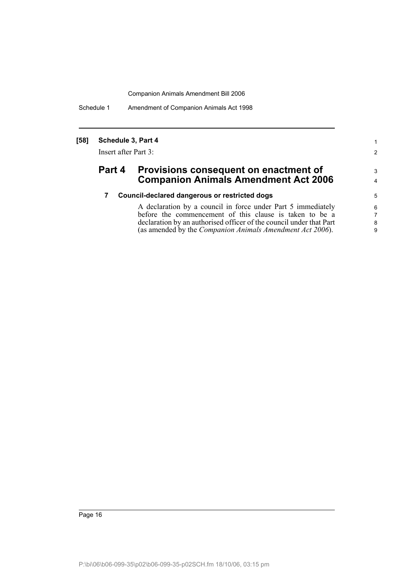Schedule 1 Amendment of Companion Animals Act 1998

### **[58] Schedule 3, Part 4**

Insert after Part 3:

### **Part 4 Provisions consequent on enactment of Companion Animals Amendment Act 2006**

### **7 Council-declared dangerous or restricted dogs**

A declaration by a council in force under Part 5 immediately before the commencement of this clause is taken to be a declaration by an authorised officer of the council under that Part (as amended by the *Companion Animals Amendment Act 2006*).

1 2

3 4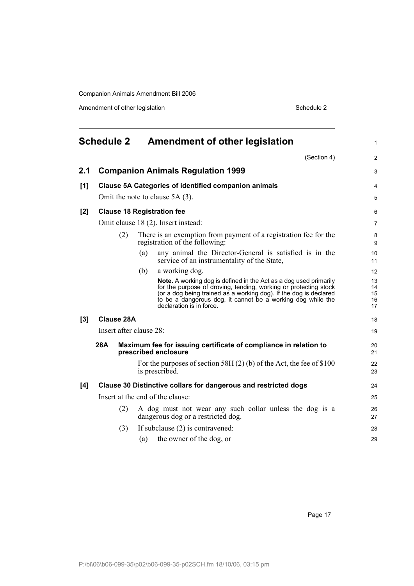Amendment of other legislation Schedule 2

|     | <b>Schedule 2</b>                |     |                         | <b>Amendment of other legislation</b>                                                                                                                                                                                                                                                                 | $\mathbf{1}$               |  |  |
|-----|----------------------------------|-----|-------------------------|-------------------------------------------------------------------------------------------------------------------------------------------------------------------------------------------------------------------------------------------------------------------------------------------------------|----------------------------|--|--|
|     |                                  |     |                         | (Section 4)                                                                                                                                                                                                                                                                                           | $\overline{2}$             |  |  |
| 2.1 |                                  |     |                         | <b>Companion Animals Regulation 1999</b>                                                                                                                                                                                                                                                              | 3                          |  |  |
| [1] |                                  |     |                         | <b>Clause 5A Categories of identified companion animals</b>                                                                                                                                                                                                                                           | $\overline{4}$             |  |  |
|     |                                  |     |                         | Omit the note to clause 5A (3).                                                                                                                                                                                                                                                                       | 5                          |  |  |
| [2] |                                  |     |                         | <b>Clause 18 Registration fee</b>                                                                                                                                                                                                                                                                     | 6                          |  |  |
|     |                                  |     |                         | Omit clause 18 (2). Insert instead:                                                                                                                                                                                                                                                                   | $\overline{7}$             |  |  |
|     |                                  | (2) |                         | There is an exemption from payment of a registration fee for the<br>registration of the following:                                                                                                                                                                                                    | 8<br>9                     |  |  |
|     |                                  |     | (a)                     | any animal the Director-General is satisfied is in the<br>service of an instrumentality of the State,                                                                                                                                                                                                 | 10<br>11                   |  |  |
|     |                                  |     | (b)                     | a working dog.                                                                                                                                                                                                                                                                                        | 12                         |  |  |
|     |                                  |     |                         | Note. A working dog is defined in the Act as a dog used primarily<br>for the purpose of droving, tending, working or protecting stock<br>(or a dog being trained as a working dog). If the dog is declared<br>to be a dangerous dog, it cannot be a working dog while the<br>declaration is in force. | 13<br>14<br>15<br>16<br>17 |  |  |
| [3] | <b>Clause 28A</b>                |     |                         |                                                                                                                                                                                                                                                                                                       | 18                         |  |  |
|     |                                  |     | Insert after clause 28: |                                                                                                                                                                                                                                                                                                       |                            |  |  |
|     | 28A                              |     |                         | Maximum fee for issuing certificate of compliance in relation to<br>prescribed enclosure                                                                                                                                                                                                              | 20<br>21                   |  |  |
|     |                                  |     |                         | For the purposes of section 58H $(2)$ (b) of the Act, the fee of \$100<br>is prescribed.                                                                                                                                                                                                              | 22<br>23                   |  |  |
| [4] |                                  |     |                         | Clause 30 Distinctive collars for dangerous and restricted dogs                                                                                                                                                                                                                                       | 24                         |  |  |
|     | Insert at the end of the clause: |     |                         |                                                                                                                                                                                                                                                                                                       |                            |  |  |
|     |                                  | (2) |                         | A dog must not wear any such collar unless the dog is a<br>dangerous dog or a restricted dog.                                                                                                                                                                                                         | 26<br>27                   |  |  |
|     |                                  | (3) |                         | If subclause (2) is contravened:                                                                                                                                                                                                                                                                      | 28                         |  |  |
|     |                                  |     | (a)                     | the owner of the dog, or                                                                                                                                                                                                                                                                              | 29                         |  |  |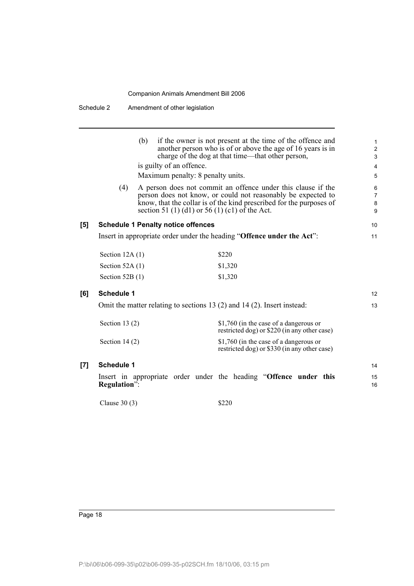Schedule 2 Amendment of other legislation

|     | (4)                                                                               | (b)<br>is guilty of an offence.<br>Maximum penalty: 8 penalty units. |  |  |         |  | if the owner is not present at the time of the offence and<br>another person who is of or above the age of 16 years is in<br>charge of the dog at that time—that other person,<br>A person does not commit an offence under this clause if the |  |  | 1<br>$\overline{c}$<br>3<br>$\overline{4}$<br>5<br>6 |
|-----|-----------------------------------------------------------------------------------|----------------------------------------------------------------------|--|--|---------|--|------------------------------------------------------------------------------------------------------------------------------------------------------------------------------------------------------------------------------------------------|--|--|------------------------------------------------------|
|     |                                                                                   | section 51 (1) (d1) or 56 (1) (c1) of the Act.                       |  |  |         |  | person does not know, or could not reasonably be expected to<br>know, that the collar is of the kind prescribed for the purposes of                                                                                                            |  |  | 7<br>8<br>9                                          |
| [5] | <b>Schedule 1 Penalty notice offences</b>                                         |                                                                      |  |  |         |  |                                                                                                                                                                                                                                                |  |  | 10                                                   |
|     | Insert in appropriate order under the heading "Offence under the Act":            |                                                                      |  |  |         |  |                                                                                                                                                                                                                                                |  |  | 11                                                   |
|     | Section $12A(1)$                                                                  |                                                                      |  |  | \$220   |  |                                                                                                                                                                                                                                                |  |  |                                                      |
|     | Section $52A(1)$                                                                  |                                                                      |  |  | \$1,320 |  |                                                                                                                                                                                                                                                |  |  |                                                      |
|     | Section $52B(1)$                                                                  |                                                                      |  |  | \$1,320 |  |                                                                                                                                                                                                                                                |  |  |                                                      |
| [6] | <b>Schedule 1</b>                                                                 |                                                                      |  |  |         |  |                                                                                                                                                                                                                                                |  |  | 12                                                   |
|     | Omit the matter relating to sections 13 (2) and 14 (2). Insert instead:           |                                                                      |  |  |         |  |                                                                                                                                                                                                                                                |  |  | 13                                                   |
|     | Section 13 $(2)$                                                                  |                                                                      |  |  |         |  | \$1,760 (in the case of a dangerous or<br>restricted dog) or \$220 (in any other case)                                                                                                                                                         |  |  |                                                      |
|     | Section 14 $(2)$                                                                  |                                                                      |  |  |         |  | \$1,760 (in the case of a dangerous or<br>restricted dog) or \$330 (in any other case)                                                                                                                                                         |  |  |                                                      |
| [7] | <b>Schedule 1</b>                                                                 |                                                                      |  |  |         |  |                                                                                                                                                                                                                                                |  |  | 14                                                   |
|     | Insert in appropriate order under the heading "Offence under this<br>Regulation": |                                                                      |  |  |         |  |                                                                                                                                                                                                                                                |  |  | 15<br>16                                             |
|     | Clause $30(3)$                                                                    |                                                                      |  |  | \$220   |  |                                                                                                                                                                                                                                                |  |  |                                                      |